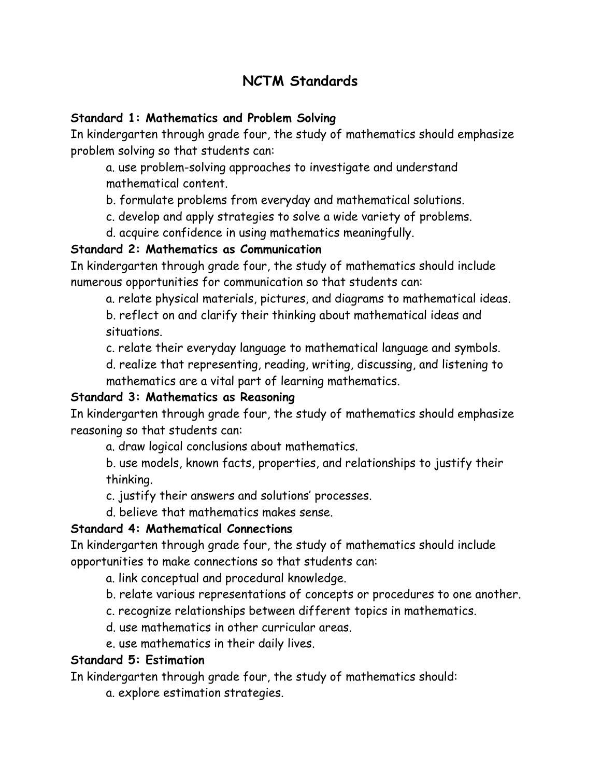# **NCTM Standards**

#### **Standard 1: Mathematics and Problem Solving**

In kindergarten through grade four, the study of mathematics should emphasize problem solving so that students can:

 a. use problem-solving approaches to investigate and understand mathematical content.

b. formulate problems from everyday and mathematical solutions.

c. develop and apply strategies to solve a wide variety of problems.

d. acquire confidence in using mathematics meaningfully.

#### **Standard 2: Mathematics as Communication**

In kindergarten through grade four, the study of mathematics should include numerous opportunities for communication so that students can:

a. relate physical materials, pictures, and diagrams to mathematical ideas.

 b. reflect on and clarify their thinking about mathematical ideas and situations.

c. relate their everyday language to mathematical language and symbols.

 d. realize that representing, reading, writing, discussing, and listening to mathematics are a vital part of learning mathematics.

### **Standard 3: Mathematics as Reasoning**

In kindergarten through grade four, the study of mathematics should emphasize reasoning so that students can:

a. draw logical conclusions about mathematics.

 b. use models, known facts, properties, and relationships to justify their thinking.

c. justify their answers and solutions' processes.

d. believe that mathematics makes sense.

### **Standard 4: Mathematical Connections**

In kindergarten through grade four, the study of mathematics should include opportunities to make connections so that students can:

- a. link conceptual and procedural knowledge.
- b. relate various representations of concepts or procedures to one another.
- c. recognize relationships between different topics in mathematics.
- d. use mathematics in other curricular areas.
- e. use mathematics in their daily lives.

### **Standard 5: Estimation**

In kindergarten through grade four, the study of mathematics should:

a. explore estimation strategies.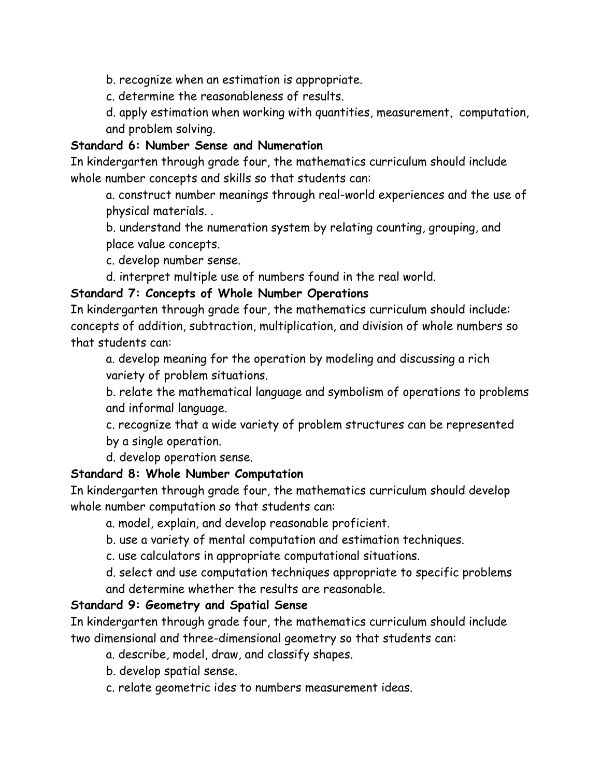b. recognize when an estimation is appropriate.

c. determine the reasonableness of results.

 d. apply estimation when working with quantities, measurement, computation, and problem solving.

#### **Standard 6: Number Sense and Numeration**

In kindergarten through grade four, the mathematics curriculum should include whole number concepts and skills so that students can:

 a. construct number meanings through real-world experiences and the use of physical materials. .

 b. understand the numeration system by relating counting, grouping, and place value concepts.

c. develop number sense.

d. interpret multiple use of numbers found in the real world.

#### **Standard 7: Concepts of Whole Number Operations**

In kindergarten through grade four, the mathematics curriculum should include: concepts of addition, subtraction, multiplication, and division of whole numbers so that students can:

 a. develop meaning for the operation by modeling and discussing a rich variety of problem situations.

 b. relate the mathematical language and symbolism of operations to problems and informal language.

 c. recognize that a wide variety of problem structures can be represented by a single operation.

d. develop operation sense.

#### **Standard 8: Whole Number Computation**

In kindergarten through grade four, the mathematics curriculum should develop whole number computation so that students can:

a. model, explain, and develop reasonable proficient.

b. use a variety of mental computation and estimation techniques.

c. use calculators in appropriate computational situations.

 d. select and use computation techniques appropriate to specific problems and determine whether the results are reasonable.

#### **Standard 9: Geometry and Spatial Sense**

In kindergarten through grade four, the mathematics curriculum should include two dimensional and three-dimensional geometry so that students can:

a. describe, model, draw, and classify shapes.

- b. develop spatial sense.
- c. relate geometric ides to numbers measurement ideas.